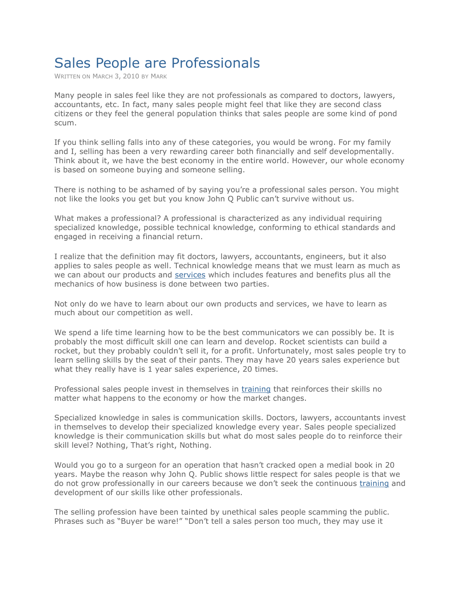## Sales People are Professionals

WRITTEN ON MARCH 3, 2010 BY MARK

Many people in sales feel like they are not professionals as compared to doctors, lawyers, accountants, etc. In fact, many sales people might feel that like they are second class citizens or they feel the general population thinks that sales people are some kind of pond scum.

If you think selling falls into any of these categories, you would be wrong. For my family and I, selling has been a very rewarding career both financially and self developmentally. Think about it, we have the best economy in the entire world. However, our whole economy is based on someone buying and someone selling.

There is nothing to be ashamed of by saying you're a professional sales person. You might not like the looks you get but you know John Q Public can't survive without us.

What makes a professional? A professional is characterized as any individual requiring specialized knowledge, possible technical knowledge, conforming to ethical standards and engaged in receiving a financial return.

I realize that the definition may fit doctors, lawyers, accountants, engineers, but it also applies to sales people as well. Technical knowledge means that we must learn as much as we can about our products and services which includes features and benefits plus all the mechanics of how business is done between two parties.

Not only do we have to learn about our own products and services, we have to learn as much about our competition as well.

We spend a life time learning how to be the best communicators we can possibly be. It is probably the most difficult skill one can learn and develop. Rocket scientists can build a rocket, but they probably couldn't sell it, for a profit. Unfortunately, most sales people try to learn selling skills by the seat of their pants. They may have 20 years sales experience but what they really have is 1 year sales experience, 20 times.

Professional sales people invest in themselves in training that reinforces their skills no matter what happens to the economy or how the market changes.

Specialized knowledge in sales is communication skills. Doctors, lawyers, accountants invest in themselves to develop their specialized knowledge every year. Sales people specialized knowledge is their communication skills but what do most sales people do to reinforce their skill level? Nothing, That's right, Nothing.

Would you go to a surgeon for an operation that hasn't cracked open a medial book in 20 years. Maybe the reason why John Q. Public shows little respect for sales people is that we do not grow professionally in our careers because we don't seek the continuous training and development of our skills like other professionals.

The selling profession have been tainted by unethical sales people scamming the public. Phrases such as "Buyer be ware!" "Don't tell a sales person too much, they may use it